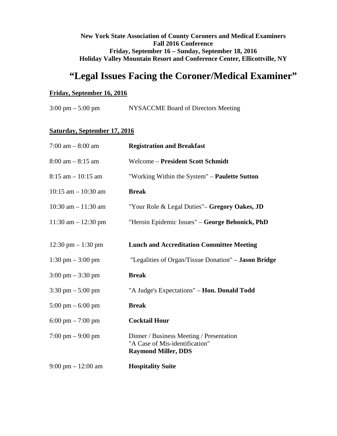# **New York State Association of County Coroners and Medical Examiners Fall 2016 Conference Friday, September 16 – Sunday, September 18, 2016 Holiday Valley Mountain Resort and Conference Center, Ellicottville, NY**

# **"Legal Issues Facing the Coroner/Medical Examiner"**

## **Friday, September 16, 2016**

3:00 pm – 5:00 pm NYSACCME Board of Directors Meeting

# **Saturday, September 17, 2016**

| $7:00 \text{ am} - 8:00 \text{ am}$  | <b>Registration and Breakfast</b>                                                                        |
|--------------------------------------|----------------------------------------------------------------------------------------------------------|
| $8:00$ am $-8:15$ am                 | <b>Welcome - President Scott Schmidt</b>                                                                 |
| $8:15$ am $-10:15$ am                | "Working Within the System" – <b>Paulette Sutton</b>                                                     |
| $10:15$ am $- 10:30$ am              | <b>Break</b>                                                                                             |
| $10:30$ am $- 11:30$ am              | "Your Role & Legal Duties"– Gregory Oakes, JD                                                            |
| $11:30$ am $- 12:30$ pm              | "Heroin Epidemic Issues" – George Behonick, PhD                                                          |
| 12:30 pm $- 1:30$ pm                 | <b>Lunch and Accreditation Committee Meeting</b>                                                         |
| $1:30$ pm $-3:00$ pm                 | "Legalities of Organ/Tissue Donation" – Jason Bridge                                                     |
| $3:00 \text{ pm} - 3:30 \text{ pm}$  | <b>Break</b>                                                                                             |
| $3:30 \text{ pm} - 5:00 \text{ pm}$  | "A Judge's Expectations" – Hon. Donald Todd                                                              |
| $5:00 \text{ pm} - 6:00 \text{ pm}$  | <b>Break</b>                                                                                             |
| $6:00 \text{ pm} - 7:00 \text{ pm}$  | <b>Cocktail Hour</b>                                                                                     |
| $7:00 \text{ pm} - 9:00 \text{ pm}$  | Dinner / Business Meeting / Presentation<br>"A Case of Mis-identification"<br><b>Raymond Miller, DDS</b> |
| $9:00 \text{ pm} - 12:00 \text{ am}$ | <b>Hospitality Suite</b>                                                                                 |